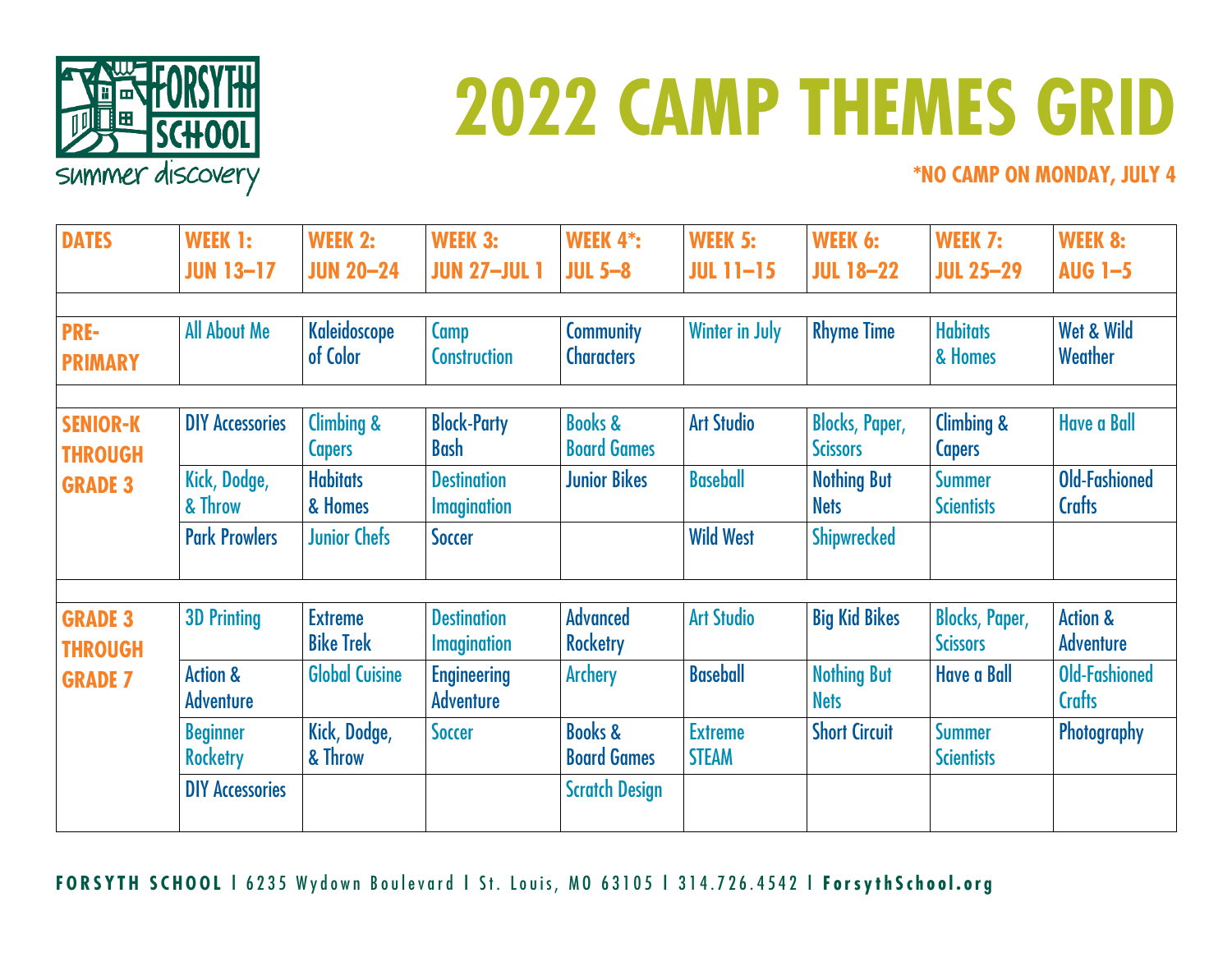

## **2022 CAMP THEMES GRID**

**\*NO CAMP ON MONDAY, JULY 4**

| <b>DATES</b>                                        | WEEK 1:<br><b>JUN 13-17</b>             | <b>WEEK 2:</b><br><b>JUN 20-24</b> | <b>WEEK 3:</b><br><b>JUN 27-JUL 1</b>    | <b>WEEK 4*:</b><br>$JUL$ 5-8             | <b>WEEK 5:</b><br><b>JUL 11-15</b> | WEEK 6:<br><b>JUL 18-22</b>              | WEEK 7:<br><b>JUL 25-29</b>              | <b>WEEK 8:</b><br><b>AUG 1-5</b>        |
|-----------------------------------------------------|-----------------------------------------|------------------------------------|------------------------------------------|------------------------------------------|------------------------------------|------------------------------------------|------------------------------------------|-----------------------------------------|
| <b>PRE-</b><br><b>PRIMARY</b>                       | <b>All About Me</b>                     | <b>Kaleidoscope</b><br>of Color    | Camp<br><b>Construction</b>              | <b>Community</b><br><b>Characters</b>    | <b>Winter in July</b>              | <b>Rhyme Time</b>                        | <b>Habitats</b><br>& Homes               | Wet & Wild<br>Weather                   |
| <b>SENIOR-K</b><br><b>THROUGH</b><br><b>GRADE 3</b> | <b>DIY Accessories</b>                  | Climbing &<br><b>Capers</b>        | <b>Block-Party</b><br><b>Bash</b>        | <b>Books &amp;</b><br><b>Board Games</b> | <b>Art Studio</b>                  | <b>Blocks, Paper,</b><br><b>Scissors</b> | Climbing &<br><b>Capers</b>              | <b>Have a Ball</b>                      |
|                                                     | Kick, Dodge,<br>& Throw                 | <b>Habitats</b><br>& Homes         | <b>Destination</b><br><b>Imagination</b> | <b>Junior Bikes</b>                      | <b>Baseball</b>                    | <b>Nothing But</b><br><b>Nets</b>        | <b>Summer</b><br><b>Scientists</b>       | <b>Old-Fashioned</b><br><b>Crafts</b>   |
|                                                     | <b>Park Prowlers</b>                    | <b>Junior Chefs</b>                | <b>Soccer</b>                            |                                          | <b>Wild West</b>                   | <b>Shipwrecked</b>                       |                                          |                                         |
| <b>GRADE 3</b><br><b>THROUGH</b><br><b>GRADE 7</b>  | <b>3D Printing</b>                      | <b>Extreme</b><br><b>Bike Trek</b> | <b>Destination</b><br><b>Imagination</b> | <b>Advanced</b><br><b>Rocketry</b>       | <b>Art Studio</b>                  | <b>Big Kid Bikes</b>                     | <b>Blocks, Paper,</b><br><b>Scissors</b> | <b>Action &amp;</b><br><b>Adventure</b> |
|                                                     | <b>Action &amp;</b><br><b>Adventure</b> | <b>Global Cuisine</b>              | <b>Engineering</b><br><b>Adventure</b>   | <b>Archery</b>                           | <b>Baseball</b>                    | <b>Nothing But</b><br><b>Nets</b>        | <b>Have a Ball</b>                       | Old-Fashioned<br><b>Crafts</b>          |
|                                                     | <b>Beginner</b><br><b>Rocketry</b>      | Kick, Dodge,<br>& Throw            | <b>Soccer</b>                            | <b>Books &amp;</b><br><b>Board Games</b> | <b>Extreme</b><br><b>STEAM</b>     | <b>Short Circuit</b>                     | <b>Summer</b><br><b>Scientists</b>       | Photography                             |
|                                                     | <b>DIY Accessories</b>                  |                                    |                                          | <b>Scratch Design</b>                    |                                    |                                          |                                          |                                         |

**FORSYTH SCHOOL |** 6235 Wydown Boulevard **|** St. Louis, MO 63105 **|** 314.726.4542 **| ForsythSchool.org**